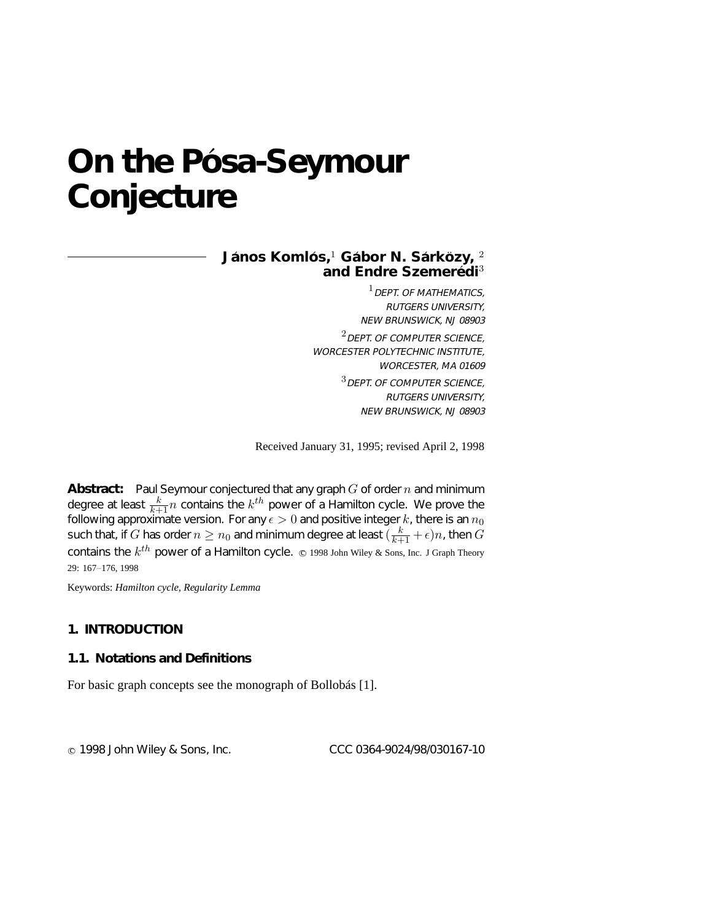# **On the Pósa-Seymour Conjecture**

### **János Komlós,<sup>1</sup> Gábor N. Sárközy,** <sup>2</sup> and Endre Szemerédi<sup>3</sup>

1DEPT. OF MATHEMATICS, RUTGERS UNIVERSITY, NEW BRUNSWICK, NJ 08903 2DEPT. OF COMPUTER SCIENCE, WORCESTER POLYTECHNIC INSTITUTE, WORCESTER, MA 01609 3DEPT. OF COMPUTER SCIENCE, RUTGERS UNIVERSITY, NEW BRUNSWICK, NJ 08903

Received January 31, 1995; revised April 2, 1998

**Abstract:** Paul Seymour conjectured that any graph G of order n and minimum degree at least  $\frac{k}{k+1}n$  contains the  $k^{th}$  power of a Hamilton cycle. We prove the following approximate version. For any  $\epsilon > 0$  and positive integer k, there is an  $n_0$ such that, if  $G$  has order  $n\geq n_0$  and minimum degree at least  $(\frac{k}{k+1}+\epsilon)n$ , then  $G$ contains the  $k^{th}$  power of a Hamilton cycle.  $\circledcirc$  1998 John Wiley & Sons, Inc. J Graph Theory 29: 167–176, 1998

Keywords: *Hamilton cycle, Regularity Lemma*

#### **1. INTRODUCTION**

#### **1.1. Notations and Definitions**

For basic graph concepts see the monograph of Bollobás [1].

c 1998 John Wiley & Sons, Inc. CCC 0364-9024/98/030167-10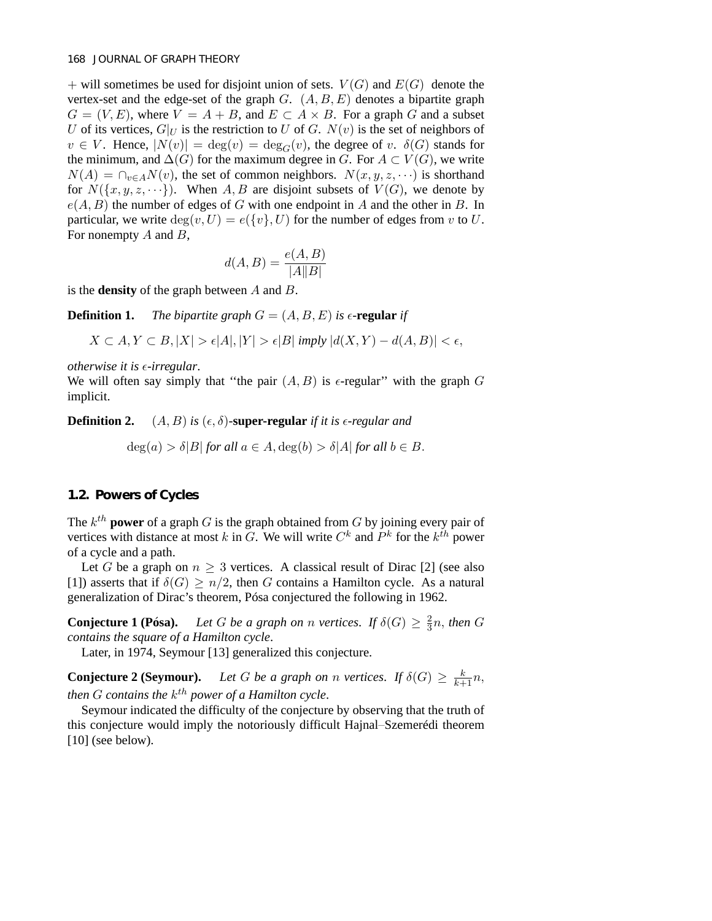$+$  will sometimes be used for disjoint union of sets.  $V(G)$  and  $E(G)$  denote the vertex-set and the edge-set of the graph  $G. (A, B, E)$  denotes a bipartite graph  $G = (V, E)$ , where  $V = A + B$ , and  $E \subset A \times B$ . For a graph G and a subset U of its vertices,  $G|_U$  is the restriction to U of G.  $N(v)$  is the set of neighbors of  $v \in V$ . Hence,  $|N(v)| = \deg(v) = \deg_G(v)$ , the degree of v.  $\delta(G)$  stands for the minimum, and  $\Delta(G)$  for the maximum degree in G. For  $A \subset V(G)$ , we write  $N(A) = \bigcap_{v \in A} N(v)$ , the set of common neighbors.  $N(x, y, z, \dots)$  is shorthand for  $N({x, y, z, \dots})$ . When A, B are disjoint subsets of  $V(G)$ , we denote by  $e(A, B)$  the number of edges of G with one endpoint in A and the other in B. In particular, we write  $\deg(v, U) = e({v}, U)$  for the number of edges from v to U. For nonempty  $A$  and  $B$ ,

$$
d(A, B) = \frac{e(A, B)}{|A||B|}
$$

is the **density** of the graph between A and B.

**Definition 1.** *The bipartite graph*  $G = (A, B, E)$  *is*  $\epsilon$ -**regular** *if* 

 $X \subset A, Y \subset B, |X| > \epsilon |A|, |Y| > \epsilon |B|$  *imply*  $|d(X, Y) - d(A, B)| < \epsilon$ ,

*otherwise it is* -*irregular*.

We will often say simply that "the pair  $(A, B)$  is  $\epsilon$ -regular" with the graph G implicit.

**Definition 2.** (A, B) *is* ( $\epsilon$ ,  $\delta$ )-**super-regular** *if it is*  $\epsilon$ -regular and

 $deg(a) > \delta |B|$  *for all*  $a \in A$ ,  $deg(b) > \delta |A|$  *for all*  $b \in B$ .

#### **1.2. Powers of Cycles**

The  $k^{th}$  **power** of a graph  $G$  is the graph obtained from  $G$  by joining every pair of vertices with distance at most k in G. We will write  $C^k$  and  $P^k$  for the  $k^{th}$  power of a cycle and a path.

Let G be a graph on  $n \geq 3$  vertices. A classical result of Dirac [2] (see also [1]) asserts that if  $\delta(G) \geq n/2$ , then G contains a Hamilton cycle. As a natural generalization of Dirac's theorem, Pósa conjectured the following in 1962.

**Conjecture 1 (Pósa).** Let G be a graph on n vertices. If  $\delta(G) \geq \frac{2}{3}n$ , then G *contains the square of a Hamilton cycle*.

Later, in 1974, Seymour [13] generalized this conjecture.

**Conjecture 2 (Seymour).** Let G be a graph on n vertices. If  $\delta(G) \geq \frac{k}{k+1}n$ , *then G contains the*  $k^{th}$  *power of a Hamilton cycle.* 

Seymour indicated the difficulty of the conjecture by observing that the truth of this conjecture would imply the notoriously difficult Hajnal–Szemerédi theorem  $[10]$  (see below).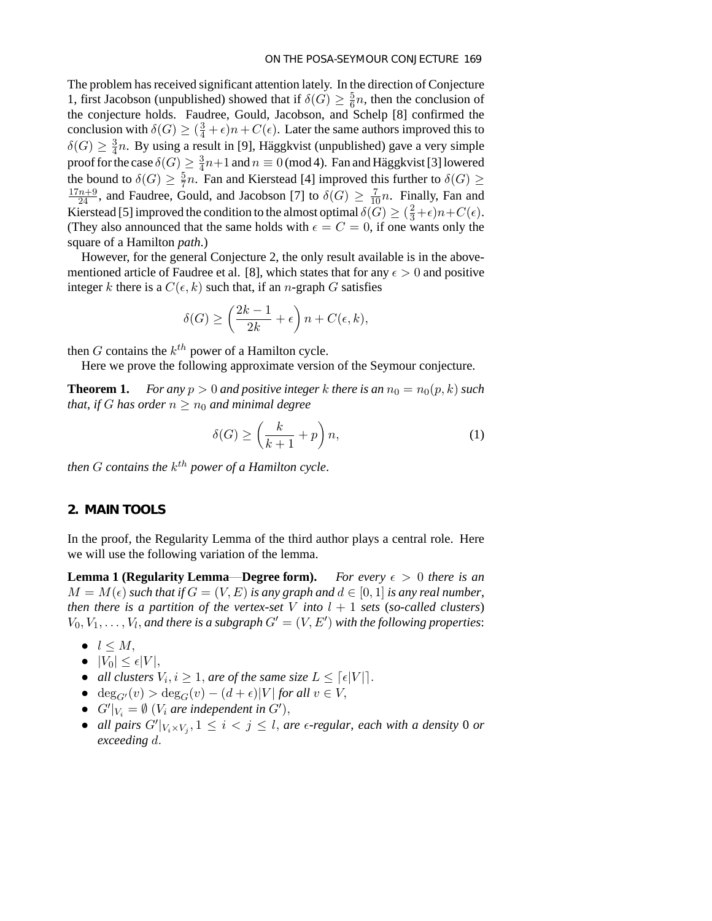The problem has received significant attention lately. In the direction of Conjecture 1, first Jacobson (unpublished) showed that if  $\delta(G) \geq \frac{5}{6}n$ , then the conclusion of the conjecture holds. Faudree, Gould, Jacobson, and Schelp [8] confirmed the conclusion with  $\delta(G) \geq (\frac{3}{4} + \epsilon)n + C(\epsilon)$ . Later the same authors improved this to  $\delta(G) \geq \frac{3}{4}n$ . By using a result in [9], Häggkvist (unpublished) gave a very simple proof for the case  $\delta(G) \geq \frac{3}{4}n+1$  and  $n \equiv 0 \pmod{4}$ . Fan and Häggkvist [3] lowered the bound to  $\delta(G) \ge \frac{5}{7}n$ . Fan and Kierstead [4] improved this further to  $\delta(G) \ge$  $\frac{17n+9}{24}$ , and Faudree, Gould, and Jacobson [7] to  $\delta(G) \geq \frac{7}{10}n$ . Finally, Fan and Kierstead [5] improved the condition to the almost optimal  $\delta(G) \geq (\frac{2}{3} + \epsilon)n + C(\epsilon)$ . (They also announced that the same holds with  $\epsilon = C = 0$ , if one wants only the square of a Hamilton *path*.)

However, for the general Conjecture 2, the only result available is in the abovementioned article of Faudree et al. [8], which states that for any  $\epsilon > 0$  and positive integer k there is a  $C(\epsilon, k)$  such that, if an n-graph G satisfies

$$
\delta(G) \ge \left(\frac{2k-1}{2k} + \epsilon\right)n + C(\epsilon, k),
$$

then  $G$  contains the  $k^{th}$  power of a Hamilton cycle.

Here we prove the following approximate version of the Seymour conjecture.

**Theorem 1.** *For any*  $p > 0$  *and positive integer* k *there is an*  $n_0 = n_0(p, k)$  *such that, if* G has order  $n > n_0$  and minimal degree

$$
\delta(G) \ge \left(\frac{k}{k+1} + p\right)n,\tag{1}
$$

*then*  $G$  *contains the*  $k^{th}$  *power of a Hamilton cycle.* 

#### **2. MAIN TOOLS**

In the proof, the Regularity Lemma of the third author plays a central role. Here we will use the following variation of the lemma.

**Lemma 1 (Regularity Lemma—Degree form).** For every  $\epsilon > 0$  there is an  $M = M(\epsilon)$  *such that if*  $G = (V, E)$  *is any graph and*  $d \in [0, 1]$  *is any real number*, *then there is a partition of the vertex-set* V *into*  $l + 1$  *sets* (*so-called clusters*)  $V_0, V_1, \ldots, V_l$ , and there is a subgraph  $G' = (V, E')$  with the following properties:

- $\bullet$   $l \leq M$ ,
- $|V_0| \leq \epsilon |V|,$
- *all clusters*  $V_i, i \geq 1$ , *are of the same size*  $L \leq \lceil \epsilon |V| \rceil$ .
- deg<sub>G'</sub> $(v) > deg_G(v) (d + \epsilon)|V|$  *for all*  $v \in V$ ,
- $G'|_{V_i} = \emptyset$  ( $V_i$  are independent in  $G'$ ),
- *all pairs*  $G'|_{V_i \times V_j}$ ,  $1 \leq i < j \leq l$ , *are*  $\epsilon$ *-regular*, *each with a density* 0 *or exceeding* d.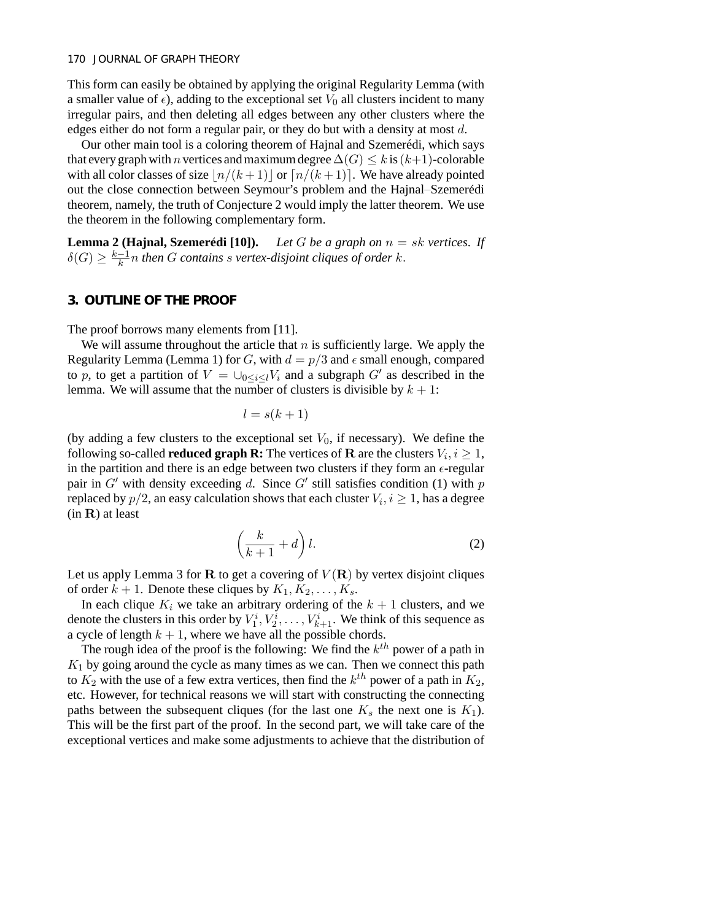This form can easily be obtained by applying the original Regularity Lemma (with a smaller value of  $\epsilon$ ), adding to the exceptional set  $V_0$  all clusters incident to many irregular pairs, and then deleting all edges between any other clusters where the edges either do not form a regular pair, or they do but with a density at most d.

Our other main tool is a coloring theorem of Hajnal and Szemerédi, which says that every graph with n vertices and maximum degree  $\Delta(G) \leq k$  is  $(k+1)$ -colorable with all color classes of size  $\lfloor n/(k + 1) \rfloor$  or  $\lfloor n/(k + 1) \rfloor$ . We have already pointed out the close connection between Seymour's problem and the Hajnal–Szemerédi theorem, namely, the truth of Conjecture 2 would imply the latter theorem. We use the theorem in the following complementary form.

**Lemma 2 (Hajnal, Szemerédi [10]).** *Let* G *be a graph on*  $n = sk$  *vertices. If*  $\delta(G) \geq \frac{k-1}{k}n$  then G contains s vertex-disjoint cliques of order k.

#### **3. OUTLINE OF THE PROOF**

The proof borrows many elements from [11].

We will assume throughout the article that  $n$  is sufficiently large. We apply the Regularity Lemma (Lemma 1) for G, with  $d = p/3$  and  $\epsilon$  small enough, compared to p, to get a partition of  $V = \bigcup_{0 \le i \le l} V_i$  and a subgraph G' as described in the lemma. We will assume that the number of clusters is divisible by  $k + 1$ :

$$
l = s(k+1)
$$

(by adding a few clusters to the exceptional set  $V_0$ , if necessary). We define the following so-called **reduced graph R:** The vertices of **R** are the clusters  $V_i$ ,  $i \geq 1$ , in the partition and there is an edge between two clusters if they form an  $\epsilon$ -regular pair in  $G'$  with density exceeding d. Since  $G'$  still satisfies condition (1) with p replaced by  $p/2$ , an easy calculation shows that each cluster  $V_i$ ,  $i \geq 1$ , has a degree (in **R**) at least

$$
\left(\frac{k}{k+1} + d\right)l.\tag{2}
$$

Let us apply Lemma 3 for  $\bf{R}$  to get a covering of  $V(\bf{R})$  by vertex disjoint cliques of order  $k + 1$ . Denote these cliques by  $K_1, K_2, \ldots, K_s$ .

In each clique  $K_i$  we take an arbitrary ordering of the  $k + 1$  clusters, and we denote the clusters in this order by  $V_1^i, V_2^i, \ldots, V_{k+1}^i$ . We think of this sequence as a cycle of length  $k + 1$ , where we have all the possible chords.

The rough idea of the proof is the following: We find the  $k^{th}$  power of a path in  $K_1$  by going around the cycle as many times as we can. Then we connect this path to  $K_2$  with the use of a few extra vertices, then find the  $k^{th}$  power of a path in  $K_2$ , etc. However, for technical reasons we will start with constructing the connecting paths between the subsequent cliques (for the last one  $K_s$  the next one is  $K_1$ ). This will be the first part of the proof. In the second part, we will take care of the exceptional vertices and make some adjustments to achieve that the distribution of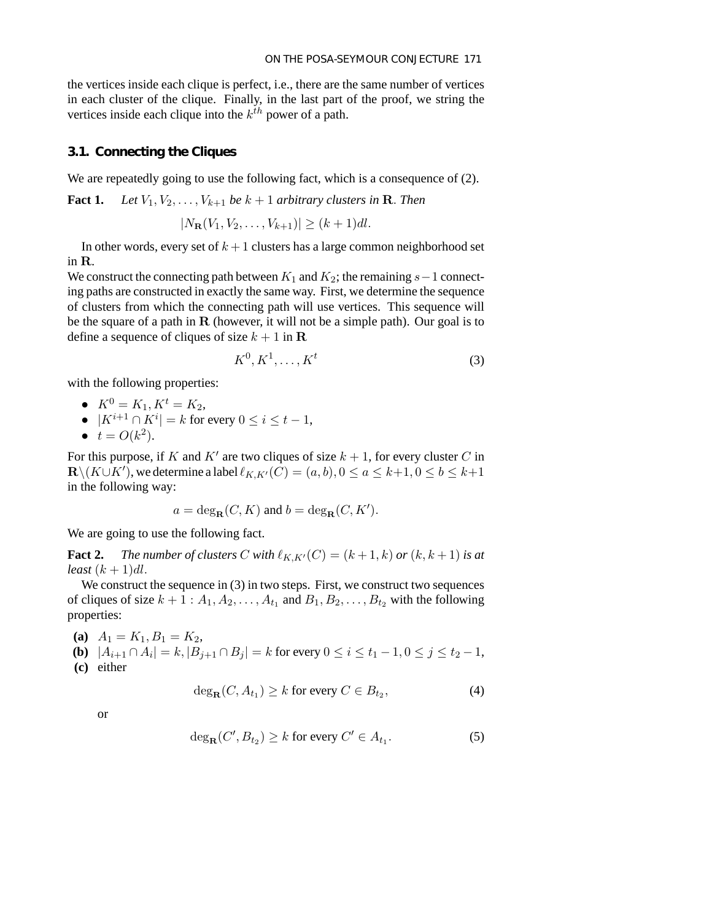the vertices inside each clique is perfect, i.e., there are the same number of vertices in each cluster of the clique. Finally, in the last part of the proof, we string the vertices inside each clique into the  $k<sup>th</sup>$  power of a path.

#### **3.1. Connecting the Cliques**

We are repeatedly going to use the following fact, which is a consequence of  $(2)$ .

**Fact 1.** *Let*  $V_1, V_2, \ldots, V_{k+1}$  *be*  $k+1$  *arbitrary clusters in* **R**. *Then* 

 $|N_{\mathbf{R}}(V_1, V_2, \ldots, V_{k+1})| \ge (k+1)dl.$ 

In other words, every set of  $k + 1$  clusters has a large common neighborhood set in **R**.

We construct the connecting path between  $K_1$  and  $K_2$ ; the remaining s – 1 connecting paths are constructed in exactly the same way. First, we determine the sequence of clusters from which the connecting path will use vertices. This sequence will be the square of a path in **R** (however, it will not be a simple path). Our goal is to define a sequence of cliques of size  $k + 1$  in **R** 

$$
K^0, K^1, \dots, K^t \tag{3}
$$

with the following properties:

- $K^0 = K_1, K^t = K_2,$
- $|K^{i+1} \cap K^i| = k$  for every  $0 \le i \le t 1$ ,
- $t = O(k^2)$ .

For this purpose, if K and K' are two cliques of size  $k + 1$ , for every cluster C in  $\mathbf{R} \backslash (K \cup K')$ , we determine a label  $\ell_{K,K'}(C)=(a, b), 0 \leq a \leq k+1, 0 \leq b \leq k+1$ in the following way:

 $a = \deg_{\mathbf{R}}(C, K)$  and  $b = \deg_{\mathbf{R}}(C, K').$ 

We are going to use the following fact.

**Fact 2.** *The number of clusters* C with  $\ell_{K,K'}(C)=(k+1, k)$  *or*  $(k, k+1)$  *is at least*  $(k+1)dl$ .

We construct the sequence in (3) in two steps. First, we construct two sequences of cliques of size  $k + 1: A_1, A_2, \ldots, A_{t_1}$  and  $B_1, B_2, \ldots, B_{t_2}$  with the following properties:

- (a)  $A_1 = K_1, B_1 = K_2$ ,
- **(b)**  $|A_{i+1} \cap A_i| = k$ ,  $|B_{j+1} \cap B_j| = k$  for every  $0 \le i \le t_1 1$ ,  $0 \le j \le t_2 1$ , **(c)** either

$$
\deg_{\mathbf{R}}(C, A_{t_1}) \ge k \text{ for every } C \in B_{t_2},\tag{4}
$$

or

$$
\deg_{\mathbf{R}}(C', B_{t_2}) \ge k \text{ for every } C' \in A_{t_1}.
$$
 (5)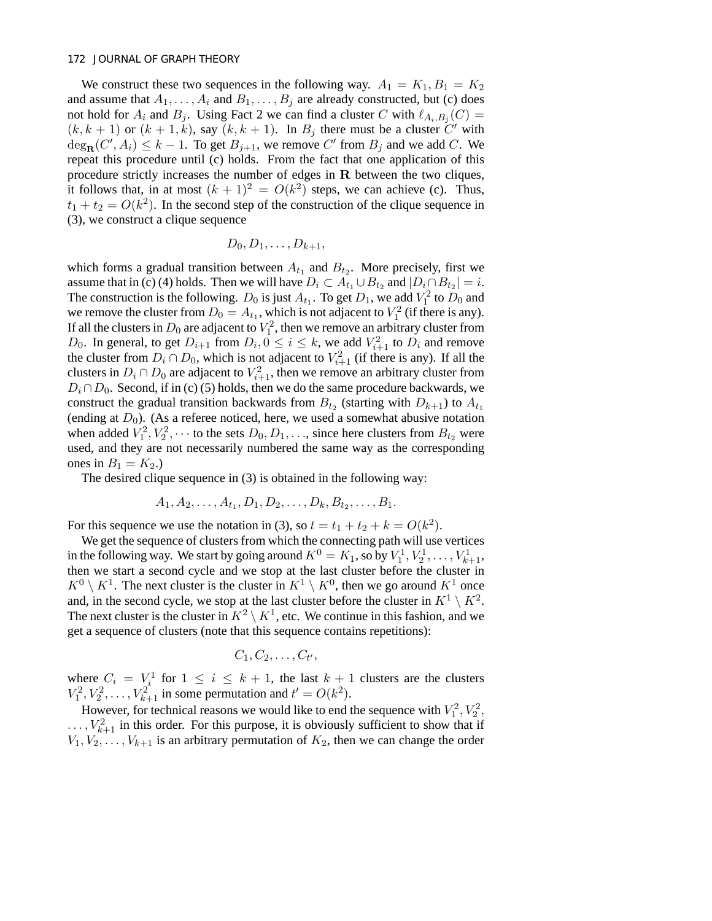#### 172 JOURNAL OF GRAPH THEORY

We construct these two sequences in the following way.  $A_1 = K_1, B_1 = K_2$ and assume that  $A_1, \ldots, A_i$  and  $B_1, \ldots, B_j$  are already constructed, but (c) does not hold for  $A_i$  and  $B_j$ . Using Fact 2 we can find a cluster C with  $\ell_{A_i,B_j} (C) =$  $(k, k + 1)$  or  $(k + 1, k)$ , say  $(k, k + 1)$ . In  $B<sub>i</sub>$  there must be a cluster C' with  $deg_{\mathbf{R}}(C', A_i) \leq k - 1$ . To get  $B_{j+1}$ , we remove C' from  $B_j$  and we add C. We repeat this procedure until (c) holds. From the fact that one application of this procedure strictly increases the number of edges in **R** between the two cliques, it follows that, in at most  $(k + 1)^2 = O(k^2)$  steps, we can achieve (c). Thus,  $t_1 + t_2 = O(k^2)$ . In the second step of the construction of the clique sequence in (3), we construct a clique sequence

$$
D_0, D_1, \ldots, D_{k+1},
$$

which forms a gradual transition between  $A_{t_1}$  and  $B_{t_2}$ . More precisely, first we assume that in (c) (4) holds. Then we will have  $D_i \subset A_{t_1} \cup B_{t_2}$  and  $|D_i \cap B_{t_2}| = i$ . The construction is the following.  $D_0$  is just  $A_{t_1}$ . To get  $D_1$ , we add  $V_1^2$  to  $D_0$  and we remove the cluster from  $D_0 = A_{t_1}$ , which is not adjacent to  $V_1^2$  (if there is any). If all the clusters in  $D_0$  are adjacent to  $V_1^2$ , then we remove an arbitrary cluster from  $D_0$ . In general, to get  $D_{i+1}$  from  $D_i$ ,  $0 \le i \le k$ , we add  $V_{i+1}^2$  to  $D_i$  and remove the cluster from  $D_i \cap D_0$ , which is not adjacent to  $V_{i+1}^2$  (if there is any). If all the clusters in  $D_i \cap D_0$  are adjacent to  $V_{i+1}^2$ , then we remove an arbitrary cluster from  $D_i \cap D_0$ . Second, if in (c) (5) holds, then we do the same procedure backwards, we construct the gradual transition backwards from  $B_{t_2}$  (starting with  $D_{k+1}$ ) to  $A_{t_1}$ (ending at  $D_0$ ). (As a referee noticed, here, we used a somewhat abusive notation when added  $V_1^2, V_2^2, \cdots$  to the sets  $D_0, D_1, \ldots$ , since here clusters from  $B_{t_2}$  were used, and they are not necessarily numbered the same way as the corresponding ones in  $B_1 = K_2$ .)

The desired clique sequence in (3) is obtained in the following way:

$$
A_1, A_2, \ldots, A_{t_1}, D_1, D_2, \ldots, D_k, B_{t_2}, \ldots, B_1.
$$

For this sequence we use the notation in (3), so  $t = t_1 + t_2 + k = O(k^2)$ .

We get the sequence of clusters from which the connecting path will use vertices in the following way. We start by going around  $K^0 = K_1$ , so by  $V_1^1, V_2^1, \ldots, V_{k+1}^1$ , then we start a second cycle and we stop at the last cluster before the cluster in  $K^0 \setminus K^1$ . The next cluster is the cluster in  $K^1 \setminus K^0$ , then we go around  $K^1$  once and, in the second cycle, we stop at the last cluster before the cluster in  $K^1 \setminus K^2$ . The next cluster is the cluster in  $K^2 \setminus K^1$ , etc. We continue in this fashion, and we get a sequence of clusters (note that this sequence contains repetitions):

$$
C_1, C_2, \ldots, C_{t'},
$$

where  $C_i = V_i^1$  for  $1 \le i \le k+1$ , the last  $k+1$  clusters are the clusters  $V_1^2, V_2^2, \ldots, V_{k+1}^2$  in some permutation and  $t' = O(k^2)$ .

However, for technical reasons we would like to end the sequence with  $V_1^2$ ,  $V_2^2$ ,  $\ldots$ ,  $V_{k+1}^2$  in this order. For this purpose, it is obviously sufficient to show that if  $V_1, V_2, \ldots, V_{k+1}$  is an arbitrary permutation of  $K_2$ , then we can change the order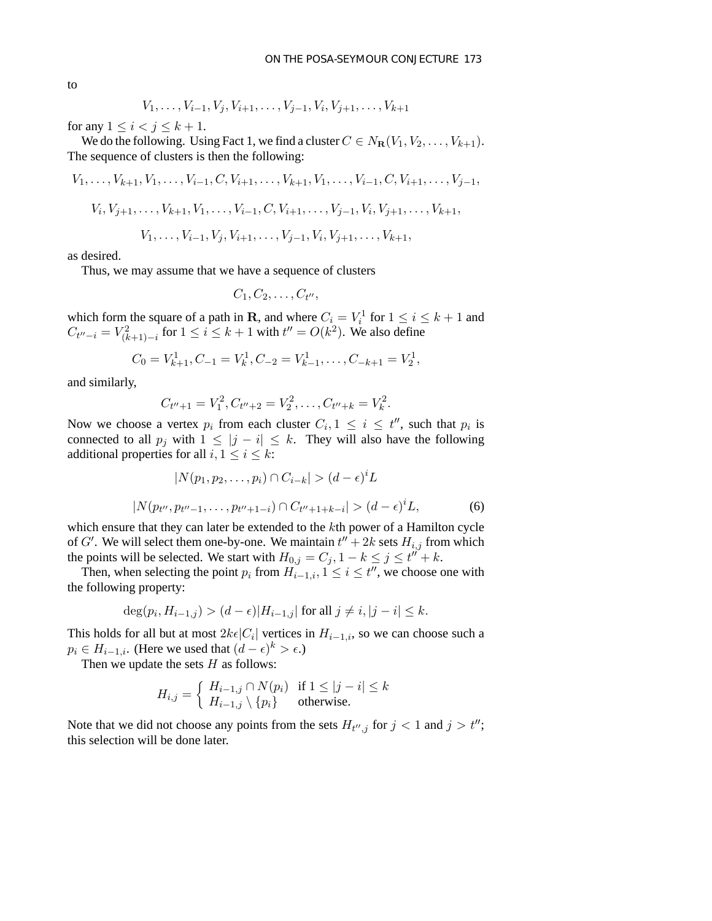to

$$
V_1, \ldots, V_{i-1}, V_j, V_{i+1}, \ldots, V_{j-1}, V_i, V_{j+1}, \ldots, V_{k+1}
$$

for any  $1 \leq i < j \leq k + 1$ .

We do the following. Using Fact 1, we find a cluster  $C \in N_{\mathbf{R}}(V_1, V_2, \ldots, V_{k+1})$ . The sequence of clusters is then the following:

$$
V_1, \ldots, V_{k+1}, V_1, \ldots, V_{i-1}, C, V_{i+1}, \ldots, V_{k+1}, V_1, \ldots, V_{i-1}, C, V_{i+1}, \ldots, V_{j-1},
$$
  
\n
$$
V_i, V_{j+1}, \ldots, V_{k+1}, V_1, \ldots, V_{i-1}, C, V_{i+1}, \ldots, V_{j-1}, V_i, V_{j+1}, \ldots, V_{k+1},
$$
  
\n
$$
V_1, \ldots, V_{i-1}, V_j, V_{i+1}, \ldots, V_{j-1}, V_i, V_{j+1}, \ldots, V_{k+1},
$$

as desired.

Thus, we may assume that we have a sequence of clusters

$$
C_1, C_2, \ldots, C_{t''},
$$

which form the square of a path in **R**, and where  $C_i = V_i^1$  for  $1 \le i \le k+1$  and  $C_{t''-i} = V_{(k+1)-i}^2$  for  $1 \le i \le k+1$  with  $t'' = O(k^2)$ . We also define

$$
C_0 = V_{k+1}^1, C_{-1} = V_k^1, C_{-2} = V_{k-1}^1, \dots, C_{-k+1} = V_2^1,
$$

and similarly,

$$
C_{t''+1} = V_1^2, C_{t''+2} = V_2^2, \dots, C_{t''+k} = V_k^2.
$$

Now we choose a vertex  $p_i$  from each cluster  $C_i, 1 \leq i \leq t''$ , such that  $p_i$  is connected to all  $p_j$  with  $1 \leq |j - i| \leq k$ . They will also have the following additional properties for all  $i, 1 \le i \le k$ :

$$
|N(p_1, p_2, \dots, p_i) \cap C_{i-k}| > (d - \epsilon)^i L
$$
  

$$
|N(p_{t''}, p_{t''-1}, \dots, p_{t''+1-i}) \cap C_{t''+1+k-i}| > (d - \epsilon)^i L,
$$
 (6)

which ensure that they can later be extended to the kth power of a Hamilton cycle of G'. We will select them one-by-one. We maintain  $t'' + 2k$  sets  $H_{i,j}$  from which the points will be selected. We start with  $H_{0,j} = C_j, 1 - k \le j \le t'' + k$ .

Then, when selecting the point  $p_i$  from  $H_{i-1,i}$ ,  $1 \le i \le t''$ , we choose one with the following property:

$$
\deg(p_i, H_{i-1,j}) > (d-\epsilon)|H_{i-1,j}| \text{ for all } j \neq i, |j-i| \leq k.
$$

This holds for all but at most  $2k\epsilon|C_i|$  vertices in  $H_{i-1,i}$ , so we can choose such a  $p_i \in H_{i-1,i}$ . (Here we used that  $(d - \epsilon)^k > \epsilon$ .)

Then we update the sets  $H$  as follows:

$$
H_{i,j} = \left\{ \begin{array}{ll} H_{i-1,j} \cap N(p_i) & \text{if } 1 \le |j-i| \le k \\ H_{i-1,j} \setminus \{p_i\} & \text{otherwise.} \end{array} \right.
$$

Note that we did not choose any points from the sets  $H_{t'',j}$  for  $j < 1$  and  $j > t''$ ; this selection will be done later.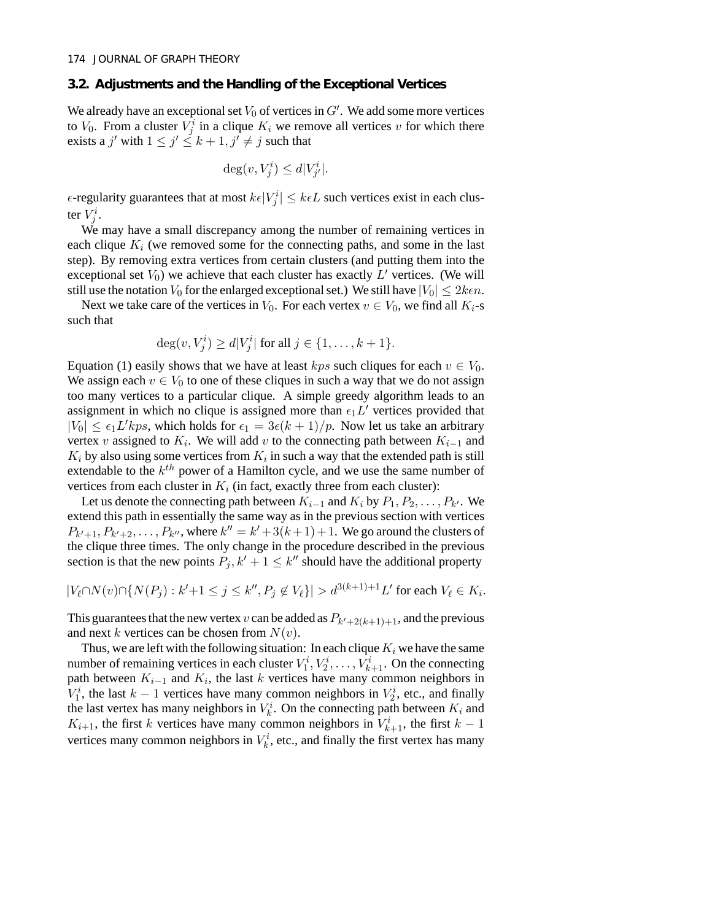#### **3.2. Adjustments and the Handling of the Exceptional Vertices**

We already have an exceptional set  $V_0$  of vertices in  $G'$ . We add some more vertices to  $V_0$ . From a cluster  $V_j^i$  in a clique  $K_i$  we remove all vertices v for which there exists a j' with  $1 \leq j' \leq k+1, j' \neq j$  such that

$$
\deg(v, V_j^i) \le d|V_{j'}^i|.
$$

 $\epsilon$ -regularity guarantees that at most  $k\epsilon|V_j^i| \leq k\epsilon L$  such vertices exist in each cluster  $V_j^i$ .

We may have a small discrepancy among the number of remaining vertices in each clique  $K_i$  (we removed some for the connecting paths, and some in the last step). By removing extra vertices from certain clusters (and putting them into the exceptional set  $V_0$ ) we achieve that each cluster has exactly  $L'$  vertices. (We will still use the notation  $V_0$  for the enlarged exceptional set.) We still have  $|V_0| \leq 2k\epsilon n$ .

Next we take care of the vertices in  $V_0$ . For each vertex  $v \in V_0$ , we find all  $K_i$ -s such that

$$
\deg(v, V_j^i) \ge d|V_j^i| \text{ for all } j \in \{1, \dots, k+1\}.
$$

Equation (1) easily shows that we have at least kps such cliques for each  $v \in V_0$ . We assign each  $v \in V_0$  to one of these cliques in such a way that we do not assign too many vertices to a particular clique. A simple greedy algorithm leads to an assignment in which no clique is assigned more than  $\epsilon_1 L'$  vertices provided that  $|V_0| \leq \epsilon_1 L' kps$ , which holds for  $\epsilon_1 = 3\epsilon(k+1)/p$ . Now let us take an arbitrary vertex v assigned to  $K_i$ . We will add v to the connecting path between  $K_{i-1}$  and  $K_i$  by also using some vertices from  $K_i$  in such a way that the extended path is still extendable to the  $k<sup>th</sup>$  power of a Hamilton cycle, and we use the same number of vertices from each cluster in  $K_i$  (in fact, exactly three from each cluster):

Let us denote the connecting path between  $K_{i-1}$  and  $K_i$  by  $P_1, P_2, \ldots, P_{k'}$ . We extend this path in essentially the same way as in the previous section with vertices  $P_{k'+1}, P_{k'+2}, \ldots, P_{k''}$ , where  $k'' = k'+3(k+1)+1$ . We go around the clusters of the clique three times. The only change in the procedure described in the previous section is that the new points  $P_j$ ,  $k' + 1 \leq k''$  should have the additional property

$$
|V_{\ell} \cap N(v) \cap \{N(P_j) : k' + 1 \le j \le k'', P_j \notin V_{\ell}\}| > d^{3(k+1)+1}L' \text{ for each } V_{\ell} \in K_i.
$$

This guarantees that the new vertex v can be added as  $P_{k'+2(k+1)+1}$ , and the previous and next k vertices can be chosen from  $N(v)$ .

Thus, we are left with the following situation: In each clique  $K_i$  we have the same number of remaining vertices in each cluster  $V_1^i, V_2^i, \ldots, V_{k+1}^i$ . On the connecting path between  $K_{i-1}$  and  $K_i$ , the last k vertices have many common neighbors in  $V_1^i$ , the last  $k-1$  vertices have many common neighbors in  $V_2^i$ , etc., and finally the last vertex has many neighbors in  $V_k^i$ . On the connecting path between  $K_i$  and  $K_{i+1}$ , the first k vertices have many common neighbors in  $V_{k+1}^i$ , the first  $k-1$ vertices many common neighbors in  $V_k^i$ , etc., and finally the first vertex has many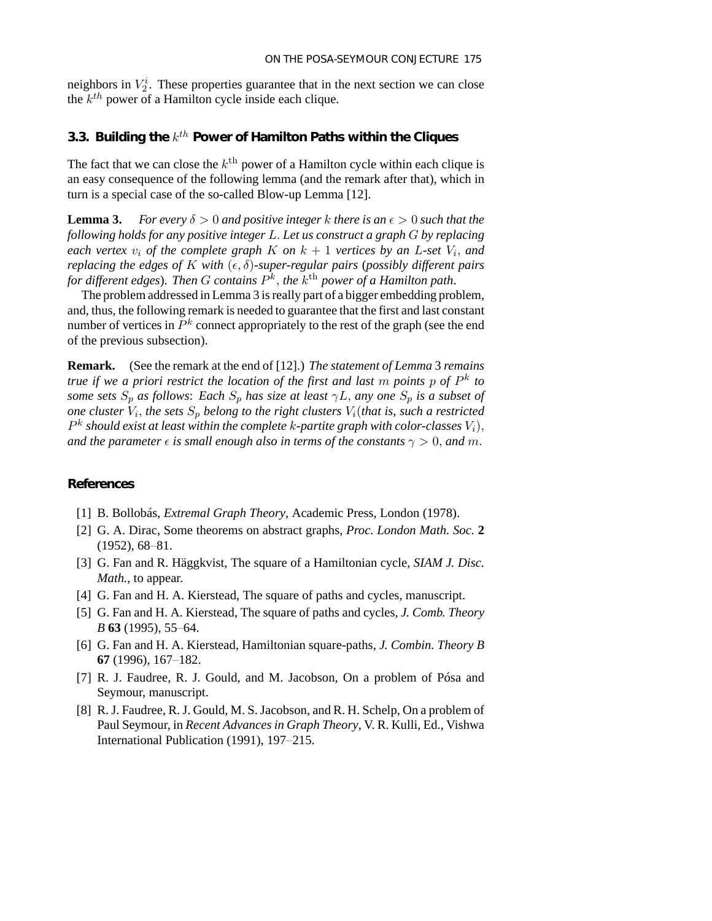neighbors in  $V_2^i$ . These properties guarantee that in the next section we can close the  $k^{th}$  power of a Hamilton cycle inside each clique.

## **3.3. Building the**  $k^{th}$  **Power of Hamilton Paths within the Cliques**

The fact that we can close the  $k<sup>th</sup>$  power of a Hamilton cycle within each clique is an easy consequence of the following lemma (and the remark after that), which in turn is a special case of the so-called Blow-up Lemma [12].

**Lemma 3.** For every  $\delta > 0$  and positive integer k there is an  $\epsilon > 0$  such that the *following holds for any positive integer* L. *Let us construct a graph* G *by replacing each vertex*  $v_i$  *of the complete graph* K *on*  $k + 1$  *vertices* by *an* L-set  $V_i$ , *and replacing the edges of* K *with*  $(\epsilon, \delta)$ -super-regular pairs (possibly different pairs *for different edges*). *Then G contains*  $P^k$ *, the*  $k^{\text{th}}$  *power of a Hamilton path.* 

The problem addressed in Lemma 3 is really part of a bigger embedding problem, and, thus, the following remark is needed to guarantee that the first and last constant number of vertices in  $P^k$  connect appropriately to the rest of the graph (see the end of the previous subsection).

**Remark.** (See the remark at the end of [12].) *The statement of Lemma* 3 *remains true if we a priori restrict the location of the first and last m points p of*  $P^k$  *to some sets*  $S_p$  *as follows: Each*  $S_p$  *has size at least*  $\gamma L$ *, any one*  $S_p$  *is a subset of one cluster*  $V_i$ , *the sets*  $S_p$  *belong to the right clusters*  $V_i$  (*that is, such a restricted*  $P^k$  *should exist at least within the complete k-partite graph with color-classes*  $V_i$ ), *and the parameter*  $\epsilon$  *is small enough also in terms of the constants*  $\gamma > 0$ *, and m.* 

#### **References**

- [1] B. Bollobás, *Extremal Graph Theory*, Academic Press, London (1978).
- [2] G. A. Dirac, Some theorems on abstract graphs, *Proc. London Math. Soc.* **2** (1952), 68–81.
- [3] G. Fan and R. Häggkvist, The square of a Hamiltonian cycle, *SIAM J. Disc. Math.*, to appear.
- [4] G. Fan and H. A. Kierstead, The square of paths and cycles, manuscript.
- [5] G. Fan and H. A. Kierstead, The square of paths and cycles, *J. Comb. Theory B* **63** (1995), 55–64.
- [6] G. Fan and H. A. Kierstead, Hamiltonian square-paths, *J. Combin. Theory B* **67** (1996), 167–182.
- [7] R. J. Faudree, R. J. Gould, and M. Jacobson, On a problem of Pósa and Seymour, manuscript.
- [8] R. J. Faudree, R. J. Gould, M. S. Jacobson, and R. H. Schelp, On a problem of Paul Seymour, in *Recent Advances in Graph Theory*, V. R. Kulli, Ed., Vishwa International Publication (1991), 197–215.